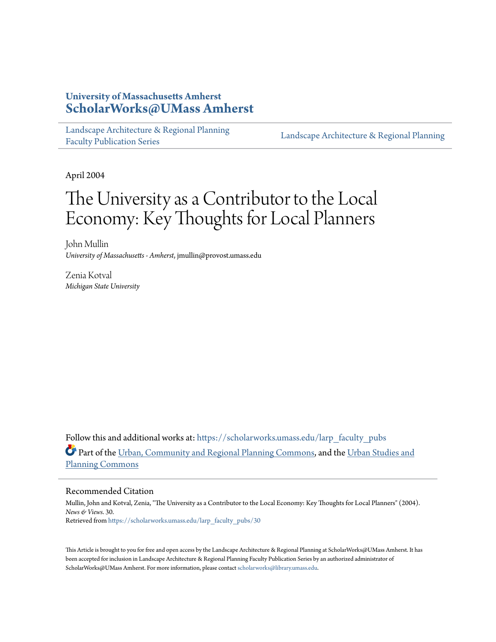### **University of Massachusetts Amherst [ScholarWorks@UMass Amherst](https://scholarworks.umass.edu?utm_source=scholarworks.umass.edu%2Flarp_faculty_pubs%2F30&utm_medium=PDF&utm_campaign=PDFCoverPages)**

[Landscape Architecture & Regional Planning](https://scholarworks.umass.edu/larp_faculty_pubs?utm_source=scholarworks.umass.edu%2Flarp_faculty_pubs%2F30&utm_medium=PDF&utm_campaign=PDFCoverPages) [Faculty Publication Series](https://scholarworks.umass.edu/larp_faculty_pubs?utm_source=scholarworks.umass.edu%2Flarp_faculty_pubs%2F30&utm_medium=PDF&utm_campaign=PDFCoverPages)

[Landscape Architecture & Regional Planning](https://scholarworks.umass.edu/larp?utm_source=scholarworks.umass.edu%2Flarp_faculty_pubs%2F30&utm_medium=PDF&utm_campaign=PDFCoverPages)

April 2004

## The University as a Contributor to the Local Economy: Key Thoughts for Local Planners

John Mullin *University of Massachusetts - Amherst*, jmullin@provost.umass.edu

Zenia Kotval *Michigan State University*

Follow this and additional works at: [https://scholarworks.umass.edu/larp\\_faculty\\_pubs](https://scholarworks.umass.edu/larp_faculty_pubs?utm_source=scholarworks.umass.edu%2Flarp_faculty_pubs%2F30&utm_medium=PDF&utm_campaign=PDFCoverPages) Part of the [Urban, Community and Regional Planning Commons](http://network.bepress.com/hgg/discipline/776?utm_source=scholarworks.umass.edu%2Flarp_faculty_pubs%2F30&utm_medium=PDF&utm_campaign=PDFCoverPages), and the [Urban Studies and](http://network.bepress.com/hgg/discipline/436?utm_source=scholarworks.umass.edu%2Flarp_faculty_pubs%2F30&utm_medium=PDF&utm_campaign=PDFCoverPages) [Planning Commons](http://network.bepress.com/hgg/discipline/436?utm_source=scholarworks.umass.edu%2Flarp_faculty_pubs%2F30&utm_medium=PDF&utm_campaign=PDFCoverPages)

#### Recommended Citation

Mullin, John and Kotval, Zenia, "The University as a Contributor to the Local Economy: Key Thoughts for Local Planners" (2004). *News & Views*. 30. Retrieved from [https://scholarworks.umass.edu/larp\\_faculty\\_pubs/30](https://scholarworks.umass.edu/larp_faculty_pubs/30?utm_source=scholarworks.umass.edu%2Flarp_faculty_pubs%2F30&utm_medium=PDF&utm_campaign=PDFCoverPages)

This Article is brought to you for free and open access by the Landscape Architecture & Regional Planning at ScholarWorks@UMass Amherst. It has been accepted for inclusion in Landscape Architecture & Regional Planning Faculty Publication Series by an authorized administrator of ScholarWorks@UMass Amherst. For more information, please contact [scholarworks@library.umass.edu.](mailto:scholarworks@library.umass.edu)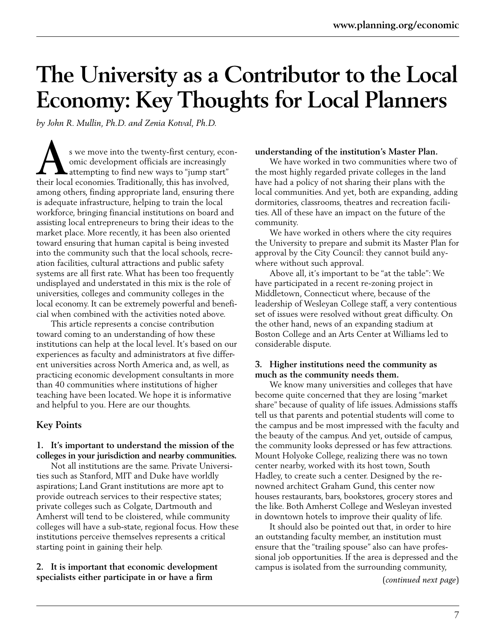# **The University as a Contributor to the Local Economy: Key Thoughts for Local Planners**

*by John R. Mullin, Ph.D. and Zenia Kotval, Ph.D.*

s we move into the twenty-first century, economic development officials are increasingly attempting to find new ways to "jump start" s we move into the twenty-first century, eco<br>
omic development officials are increasingly<br>
attempting to find new ways to "jump start"<br>
their local economies. Traditionally, this has involved, among others, finding appropriate land, ensuring there is adequate infrastructure, helping to train the local workforce, bringing financial institutions on board and assisting local entrepreneurs to bring their ideas to the market place. More recently, it has been also oriented toward ensuring that human capital is being invested into the community such that the local schools, recreation facilities, cultural attractions and public safety systems are all first rate. What has been too frequently undisplayed and understated in this mix is the role of universities, colleges and community colleges in the local economy. It can be extremely powerful and beneficial when combined with the activities noted above.

This article represents a concise contribution toward coming to an understanding of how these institutions can help at the local level. It's based on our experiences as faculty and administrators at five different universities across North America and, as well, as practicing economic development consultants in more than 40 communities where institutions of higher teaching have been located. We hope it is informative and helpful to you. Here are our thoughts.

#### **Key Points**

#### **1. It's important to understand the mission of the colleges in your jurisdiction and nearby communities.**

Not all institutions are the same. Private Universities such as Stanford, MIT and Duke have worldly aspirations; Land Grant institutions are more apt to provide outreach services to their respective states; private colleges such as Colgate, Dartmouth and Amherst will tend to be cloistered, while community colleges will have a sub-state, regional focus. How these institutions perceive themselves represents a critical starting point in gaining their help.

#### **2. It is important that economic development specialists either participate in or have a firm**

#### **understanding of the institution's Master Plan.**

We have worked in two communities where two of the most highly regarded private colleges in the land have had a policy of not sharing their plans with the local communities. And yet, both are expanding, adding dormitories, classrooms, theatres and recreation facilities. All of these have an impact on the future of the community.

We have worked in others where the city requires the University to prepare and submit its Master Plan for approval by the City Council: they cannot build anywhere without such approval.

Above all, it's important to be "at the table": We have participated in a recent re-zoning project in Middletown, Connecticut where, because of the leadership of Wesleyan College staff, a very contentious set of issues were resolved without great difficulty. On the other hand, news of an expanding stadium at Boston College and an Arts Center at Williams led to considerable dispute.

#### **3. Higher institutions need the community as much as the community needs them.**

We know many universities and colleges that have become quite concerned that they are losing "market share" because of quality of life issues. Admissions staffs tell us that parents and potential students will come to the campus and be most impressed with the faculty and the beauty of the campus. And yet, outside of campus, the community looks depressed or has few attractions. Mount Holyoke College, realizing there was no town center nearby, worked with its host town, South Hadley, to create such a center. Designed by the renowned architect Graham Gund, this center now houses restaurants, bars, bookstores, grocery stores and the like. Both Amherst College and Wesleyan invested in downtown hotels to improve their quality of life.

It should also be pointed out that, in order to hire an outstanding faculty member, an institution must ensure that the "trailing spouse" also can have professional job opportunities. If the area is depressed and the campus is isolated from the surrounding community,

(*continued next page*)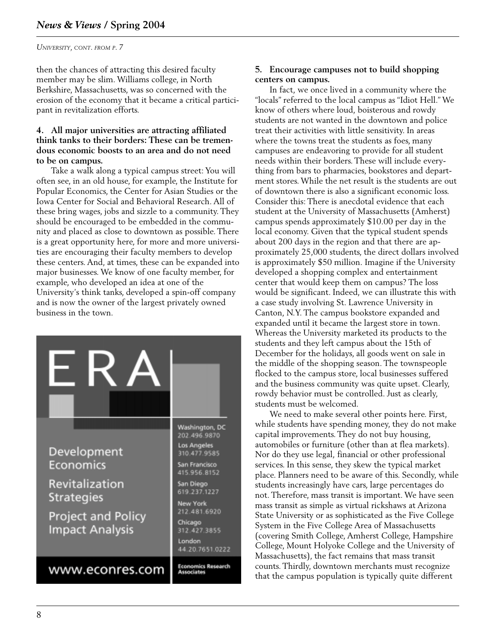*UNIVERSITY, CONT. FROM P. 7*

then the chances of attracting this desired faculty member may be slim. Williams college, in North Berkshire, Massachusetts, was so concerned with the erosion of the economy that it became a critical participant in revitalization efforts.

#### **4. All major universities are attracting affiliated think tanks to their borders: These can be tremendous economic boosts to an area and do not need to be on campus.**

Take a walk along a typical campus street: You will often see, in an old house, for example, the Institute for Popular Economics, the Center for Asian Studies or the Iowa Center for Social and Behavioral Research. All of these bring wages, jobs and sizzle to a community. They should be encouraged to be embedded in the community and placed as close to downtown as possible. There is a great opportunity here, for more and more universities are encouraging their faculty members to develop these centers. And, at times, these can be expanded into major businesses. We know of one faculty member, for example, who developed an idea at one of the University's think tanks, developed a spin-off company and is now the owner of the largest privately owned business in the town.



#### **5. Encourage campuses not to build shopping centers on campus.**

In fact, we once lived in a community where the "locals" referred to the local campus as "Idiot Hell." We know of others where loud, boisterous and rowdy students are not wanted in the downtown and police treat their activities with little sensitivity. In areas where the towns treat the students as foes, many campuses are endeavoring to provide for all student needs within their borders. These will include everything from bars to pharmacies, bookstores and department stores. While the net result is the students are out of downtown there is also a significant economic loss. Consider this: There is anecdotal evidence that each student at the University of Massachusetts (Amherst) campus spends approximately \$10.00 per day in the local economy. Given that the typical student spends about 200 days in the region and that there are approximately 25,000 students, the direct dollars involved is approximately \$50 million. Imagine if the University developed a shopping complex and entertainment center that would keep them on campus? The loss would be significant. Indeed, we can illustrate this with a case study involving St. Lawrence University in Canton, N.Y. The campus bookstore expanded and expanded until it became the largest store in town. Whereas the University marketed its products to the students and they left campus about the 15th of December for the holidays, all goods went on sale in the middle of the shopping season. The townspeople flocked to the campus store, local businesses suffered and the business community was quite upset. Clearly, rowdy behavior must be controlled. Just as clearly, students must be welcomed.

We need to make several other points here. First, while students have spending money, they do not make capital improvements.They do not buy housing, automobiles or furniture (other than at flea markets). Nor do they use legal, financial or other professional services. In this sense, they skew the typical market place. Planners need to be aware of this. Secondly, while students increasingly have cars, large percentages do not. Therefore, mass transit is important. We have seen mass transit as simple as virtual rickshaws at Arizona State University or as sophisticated as the Five College System in the Five College Area of Massachusetts (covering Smith College, Amherst College, Hampshire College, Mount Holyoke College and the University of Massachusetts), the fact remains that mass transit counts. Thirdly, downtown merchants must recognize that the campus population is typically quite different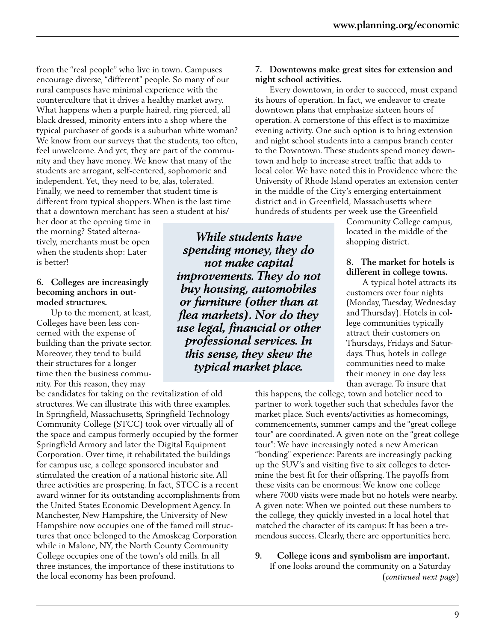from the "real people" who live in town. Campuses encourage diverse, "different" people. So many of our rural campuses have minimal experience with the counterculture that it drives a healthy market awry. What happens when a purple haired, ring pierced, all black dressed, minority enters into a shop where the typical purchaser of goods is a suburban white woman? We know from our surveys that the students, too often, feel unwelcome. And yet, they are part of the community and they have money. We know that many of the students are arrogant, self-centered, sophomoric and independent.Yet, they need to be, alas, tolerated. Finally, we need to remember that student time is different from typical shoppers. When is the last time that a downtown merchant has seen a student at his/

her door at the opening time in the morning? Stated alternatively, merchants must be open when the students shop: Later is better!

#### **6. Colleges are increasingly becoming anchors in outmoded structures.**

Up to the moment, at least, Colleges have been less concerned with the expense of building than the private sector. Moreover, they tend to build their structures for a longer time then the business community. For this reason, they may

be candidates for taking on the revitalization of old structures. We can illustrate this with three examples. In Springfield, Massachusetts, Springfield Technology Community College (STCC) took over virtually all of the space and campus formerly occupied by the former Springfield Armory and later the Digital Equipment Corporation. Over time, it rehabilitated the buildings for campus use, a college sponsored incubator and stimulated the creation of a national historic site. All three activities are prospering. In fact, STCC is a recent award winner for its outstanding accomplishments from the United States Economic Development Agency. In Manchester, New Hampshire, the University of New Hampshire now occupies one of the famed mill structures that once belonged to the Amoskeag Corporation while in Malone, NY, the North County Community College occupies one of the town's old mills. In all three instances, the importance of these institutions to the local economy has been profound.

*While students have spending money, they do not make capital improvements. They do not buy housing, automobiles or furniture (other than at flea markets). Nor do they use legal, financial or other professional services. In this sense, they skew the typical market place.*

#### **7. Downtowns make great sites for extension and night school activities.**

Every downtown, in order to succeed, must expand its hours of operation. In fact, we endeavor to create downtown plans that emphasize sixteen hours of operation. A cornerstone of this effect is to maximize evening activity. One such option is to bring extension and night school students into a campus branch center to the Downtown. These students spend money downtown and help to increase street traffic that adds to local color. We have noted this in Providence where the University of Rhode Island operates an extension center in the middle of the City's emerging entertainment district and in Greenfield, Massachusetts where hundreds of students per week use the Greenfield

> Community College campus, located in the middle of the shopping district.

#### **8. The market for hotels is different in college towns.**

A typical hotel attracts its customers over four nights (Monday, Tuesday, Wednesday and Thursday). Hotels in college communities typically attract their customers on Thursdays, Fridays and Saturdays. Thus, hotels in college communities need to make their money in one day less than average. To insure that

this happens, the college, town and hotelier need to partner to work together such that schedules favor the market place. Such events/activities as homecomings, commencements, summer camps and the "great college tour" are coordinated. A given note on the "great college tour": We have increasingly noted a new American "bonding" experience: Parents are increasingly packing up the SUV's and visiting five to six colleges to determine the best fit for their offspring. The payoffs from these visits can be enormous: We know one college where 7000 visits were made but no hotels were nearby. A given note: When we pointed out these numbers to the college, they quickly invested in a local hotel that matched the character of its campus: It has been a tremendous success. Clearly, there are opportunities here.

**9. College icons and symbolism are important.** If one looks around the community on a Saturday (*continued next page*)